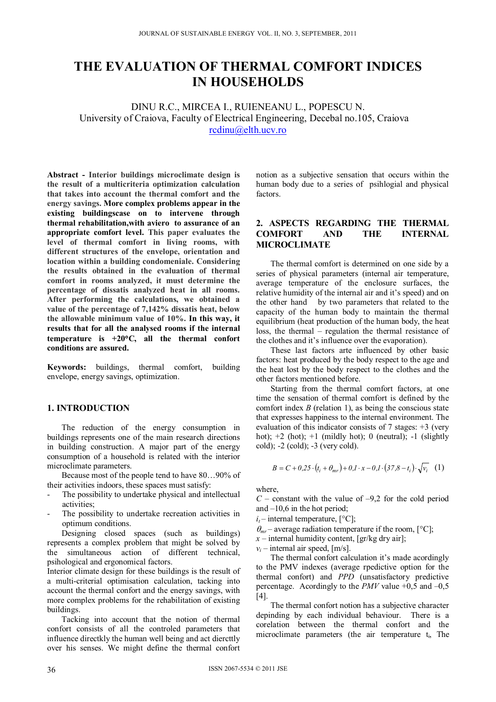# **THE EVALUATION OF THERMAL COMFORT INDICES IN HOUSEHOLDS**

DINU R.C., MIRCEA I., RUIENEANU L., POPESCU N. University of Craiova, Faculty of Electrical Engineering, Decebal no.105, Craiova rcdinu@elth.ucv.ro

**Abstract - Interior buildings microclimate design is the result of a multicriteria optimization calculation that takes into account the thermal comfort and the energy savings. More complex problems appear in the existing buildingscase on to intervene through thermal rehabilitation,with aviero to assurance of an appropriate comfort level. This paper evaluates the level of thermal comfort in living rooms, with different structures of the envelope, orientation and location within a building condomeniale. Considering the results obtained in the evaluation of thermal comfort in rooms analyzed, it must determine the percentage of dissatis analyzed heat in all rooms. After performing the calculations, we obtained a value of the percentage of 7,142% dissatis heat, below the allowable minimum value of 10%. In this way, it results that for all the analysed rooms if the internal temperature is +20C, all the thermal confort conditions are assured.** 

**Keywords:** buildings, thermal comfort, building envelope, energy savings, optimization.

## **1. INTRODUCTION**

 The reduction of the energy consumption in buildings represents one of the main research directions in building construction. A major part of the energy consumption of a household is related with the interior microclimate parameters.

 Because most of the people tend to have 80…90% of their activities indoors, these spaces must satisfy:

- The possibility to undertake physical and intellectual activities;
- The possibility to undertake recreation activities in optimum conditions.

 Designing closed spaces (such as buildings) represents a complex problem that might be solved by the simultaneous action of different technical, psihological and ergonomical factors.

Interior climate design for these buildings is the result of a multi-criterial optimisation calculation, tacking into account the thermal confort and the energy savings, with more complex problems for the rehabilitation of existing buildings.

 Tacking into account that the notion of thermal confort consists of all the controled parameters that influence directkly the human well being and act diercttly over his senses. We might define the thermal confort notion as a subjective sensation that occurs within the human body due to a series of psihlogial and physical factors.

## **2. ASPECTS REGARDING THE THERMAL COMFORT AND THE INTERNAL MICROCLIMATE**

 The thermal comfort is determined on one side by a series of physical parameters (internal air temperature, average temperature of the enclosure surfaces, the relative humidity of the internal air and it's speed) and on the other hand by two parameters that related to the capacity of the human body to maintain the thermal equilibrium (heat production of the human body, the heat loss, the thermal – regulation the thermal resistance of the clothes and it's influence over the evaporation).

 These last factors arte influenced by other basic factors: heat produced by the body respect to the age and the heat lost by the body respect to the clothes and the other factors mentioned before.

 Starting from the thermal comfort factors, at one time the sensation of thermal comfort is defined by the comfort index *B* (relation 1), as being the conscious state that expresses happiness to the internal environment. The evaluation of this indicator consists of 7 stages: +3 (very hot);  $+2$  (hot);  $+1$  (mildly hot); 0 (neutral);  $-1$  (slightly cold); -2 (cold); -3 (very cold).

$$
B = C + 0.25 \cdot (t_i + \theta_{mr}) + 0.1 \cdot x - 0.1 \cdot (37.8 - t_i) \cdot \sqrt{v_i} \tag{1}
$$

where

 $C$  – constant with the value of  $-9.2$  for the cold period and  $-10,6$  in the hot period;

 $i_t$  – internal temperature,  $[^{\circ}C]$ ;

 $\theta_{mr}$  – average radiation temperature if the room,  $[°C]$ ;

 $x$  – internal humidity content, [gr/kg dry air];

 $v_i$  – internal air speed, [m/s].

 The thermal confort calculation it's made acordingly to the PMV indexes (average rpedictive option for the thermal confort) and *PPD* (unsatisfactory predictive percentage. Acordingly to the *PMV* value  $+0.5$  and  $-0.5$ [4].

 The thermal confort notion has a subjective character depinding by each individual behaviour. There is a corelation between the thermal confort and the microclimate parameters (the air temperature ti, The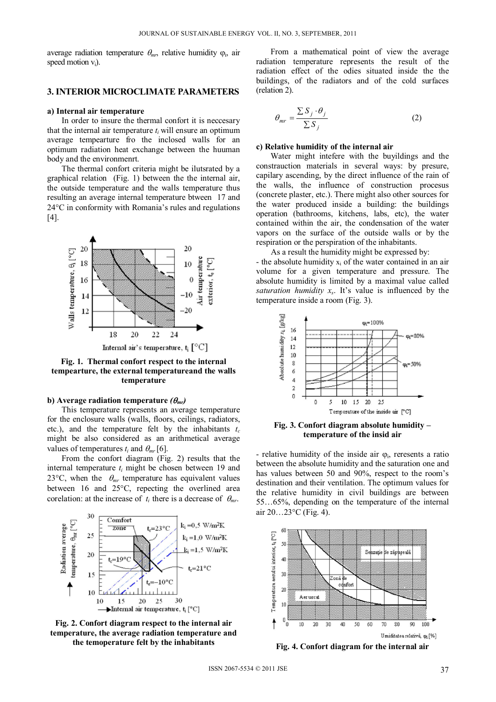average radiation temperature  $\theta_{mv}$ , relative humidity  $\varphi_{i}$ , air speed motion  $v_i$ ).

#### **3. INTERIOR MICROCLIMATE PARAMETERS**

#### **a) Internal air temperature**

 In order to insure the thermal confort it is neccesary that the internal air temperature  $t_i$  will ensure an optimum average tempearture fro the inclosed walls for an optimum radiation heat exchange between the huuman body and the environmenrt.

 The thermal confort criteria might be ilutsrated by a graphical relation (Fig. 1) between the the internal air, the outside temperature and the walls temperature thus resulting an average internal temperature btween 17 and  $24^{\circ}$ C in conformity with Romania's rules and regulations  $[4]$ .



**Fig. 1. Thermal confort respect to the internal tempearture, the external temperatureand the walls temperature** 

### **b**) Average radiation temperature  $(\theta_{mr})$

 This temperature represents an average temperature for the enclosure walls (walls, floors, ceilings, radiators, etc.), and the temperature felt by the inhabitants  $t_c$ might be also considered as an arithmetical average values of temperatures  $t_i$  and  $\theta_{mr}$  [6].

 From the confort diagram (Fig. 2) results that the internal temperature  $t_i$  might be chosen between 19 and 23 $\degree$ C, when the  $\theta_{mr}$  temperature has equivalent values between 16 and  $25^{\circ}$ C, repecting the overlined area corelation: at the increase of  $t_i$  there is a decrease of  $\theta_{mr}$ .



**Fig. 2. Confort diagram respect to the internal air temperature, the average radiation temperature and the temoperature felt by the inhabitants**

 From a mathematical point of view the average radiation temperature represents the result of the radiation effect of the odies situated inside the the buildings, of the radiators and of the cold surfaces (relation 2).

$$
\theta_{mr} = \frac{\sum S_j \cdot \theta_j}{\sum S_j} \tag{2}
$$

#### **c) Relative humidity of the internal air**

 Water might intefere with the buyildings and the constrauction materials in several ways: by presure, capilary ascending, by the direct influence of the rain of the walls, the influence of construction procesus (concrete plaster, etc.). There might also other sources for the water produced inside a building: the buildings operation (bathrooms, kitchens, labs, etc), the water contained within the air, the condensation of the water vapors on the surface of the outside walls or by the respiration or the perspiration of the inhabitants.

 As a result the humidity might be expressed by: - the absolute humidity  $x_i$  of the water contained in an air volume for a given temperature and pressure. The absolute humidity is limited by a maximal value called *saturation humidity xs*. It's value is influenced by the temperature inside a room (Fig. 3).



**Fig. 3. Confort diagram absolute humidity – temperature of the insid air** 

- relative humidity of the inside air  $\varphi_i$ , reresents a ratio between the absolute humidity and the saturation one and has values between 50 and 90%, respect to the room's destination and their ventilation. The optimum values for the relative humidity in civil buildings are between 55…65%, depending on the temperature of the internal air  $20...23$ °C (Fig. 4).



**Fig. 4. Confort diagram for the internal air**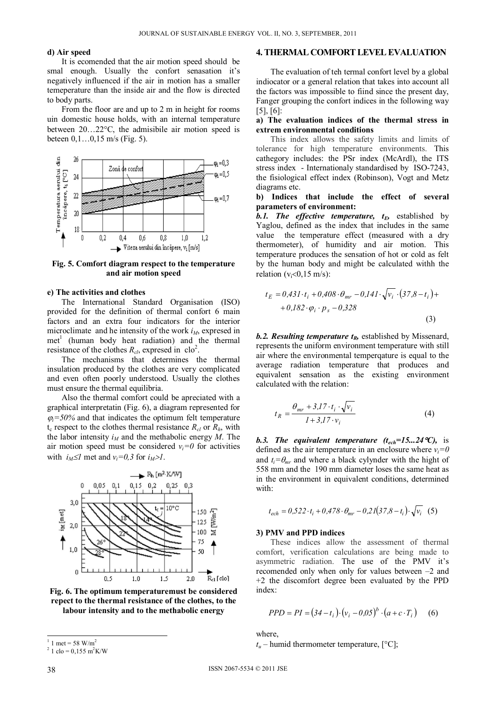#### **d) Air speed**

 It is ecomended that the air motion speed should be smal enough. Usually the confort senasation it's negatively influenced if the air in motion has a smaller temeperature than the inside air and the flow is directed to body parts.

 From the floor are and up to 2 m in height for rooms uin domestic house holds, with an internal temperature between  $20...22$ °C, the admisibile air motion speed is beteen 0,1…0,15 m/s (Fig. 5).



**Fig. 5. Comfort diagram respect to the temperature and air motion speed** 

#### **e) The activities and clothes**

The International Standard Organisation (ISO) provided for the definition of thermal confort 6 main factors and an extra four indicators for the interior microclimate and he intensity of the work  $i<sub>M</sub>$ , expresed in met<sup>1</sup> (human body heat radiation) and the thermal resistance of the clothes  $R_{cl}$ , expresed in clo<sup>2</sup>.

 The mechanisms that determines the thermal insulation produced by the clothes are very complicated and even often poorly understood. Usually the clothes must ensure the thermal equilibria.

 Also the thermal comfort could be apreciated with a graphical interpretatin (Fig. 6), a diagram represented for  $\varphi_i = 50\%$  and that indicates the optimum felt temperature  $t_c$  respect to the clothes thermal resistance  $R_{cl}$  or  $R_h$ , with the labor intensity  $i_M$  and the methabolic energy *M*. The air motion speed must be considered  $v_i=0$  for activities with  $i_M \leq l$  met and  $v_i = 0, 3$  for  $i_M > l$ .



**Fig. 6. The optimum temperaturemust be considered repect to the thermal resistance of the clothes, to the labour intensity and to the methabolic energy** 

### **4. THERMAL COMFORT LEVEL EVALUATION**

 The evaluation of teh termal confort level by a global indiocator or a general relation that takes into account all the factors was impossible to fiind since the present day, Fanger grouping the confort indices in the following way [5], [6]:

### **a) The evaluation indices of the thermal stress in extrem environmental conditions**

 This index allows the safety limits and limits of tolerance for high temperature environments. This cathegory includes: the PSr index (McArdl), the ITS stress index - Internationaly standardised by ISO-7243, the fisiological effect index (Robinson), Vogt and Metz diagrams etc.

### **b) Indices that include the effect of several parameters of environment:**

*b.1.* The effective temperature,  $t_E$ , established by Yaglou, defined as the index that includes in the same value the temperature effect (measured with a dry thermometer), of humidity and air motion. This temperature produces the sensation of hot or cold as felt by the human body and might be calculated withh the relation  $(v_i<0.15 \text{ m/s})$ :

$$
t_E = 0.431 \cdot t_i + 0.408 \cdot \theta_{mr} - 0.141 \cdot \sqrt{v_i} \cdot (37.8 - t_i) + 0.182 \cdot \varphi_i \cdot p_s - 0.328
$$
\n(3)

*b.2. Resulting temperature t<sub>R</sub>, established by Missenard,* represents the uniform environment temperature with still air where the environmental temperqature is equal to the average radiation temperature that produces and equivalent sensation as the existing environment calculated with the relation:

$$
t_R = \frac{\theta_{mr} + 3\pi J^2 \cdot t_i \cdot \sqrt{v_i}}{1 + 3\pi J^2 \cdot v_i} \tag{4}
$$

*b.3. The equivalent temperature (tech=15...24C),* is defined as the air temperature in an enclosure where  $v_i=0$ and  $t_i = \theta_{mr}$  and where a black cylynder with the hight of 558 mm and the 190 mm diameter loses the same heat as in the environment in equivalent conditions, determined with:

$$
t_{ech} = 0.522 \cdot t_i + 0.478 \cdot \theta_{mr} - 0.21(37.8 - t_i) \cdot \sqrt{v_i}
$$
 (5)

#### **3) PMV and PPD indices**

 These indices allow the assessment of thermal comfort, verification calculations are being made to asymmetric radiation. The use of the PMV it's recomended only when only for values between –2 and +2 the discomfort degree been evaluated by the PPD index:

$$
PPD = PI = (34 - t_i) \cdot (v_i - 0.05)^b \cdot (a + c \cdot T_i)
$$
 (6)

where,

 $t_u$  – humid thermometer temperature,  $[°C]$ ;

-

<sup>1</sup> 1 met = 58  $W/m^2$ 

 $^{2}$  1 clo = 0,155 m<sup>2</sup>K/W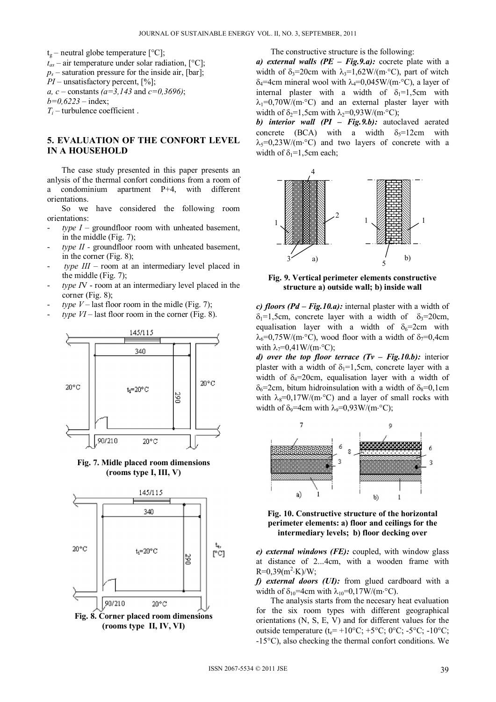$t_g$  – neutral globe temperature  $[^{\circ}C]$ ;  $t_{as}$  – air temperature under solar radiation,  $[°C]$ ;  $p_s$  – saturation pressure for the inside air, [bar]; *PI* – unsatisfactory percent, [%]; *a, c* – constants *(a=3,143* and *c=0,3696)*; *b=0,6223* – index; *Ti* – turbulence coefficient .

## **5. EVALUATION OF THE CONFORT LEVEL IN A HOUSEHOLD**

 The case study presented in this paper presents an anlysis of the thermal confort conditions from a room of a condominium apartment P+4, with different orientations.

 So we have considered the following room orientations:

- $type I$  groundfloor room with unheated basement, in the middle (Fig. 7);
- type II groundfloor room with unheated basement, in the corner (Fig. 8);
- *type III* room at an intermediary level placed in the middle (Fig. 7);
- type *I*V room at an intermediary level placed in the corner (Fig. 8);
- *type V* last floor room in the midle (Fig. 7);
- $$



**Fig. 7. Midle placed room dimensions (rooms type I, III, V)**



**(rooms type II, IV, VI)** 

The constructive structure is the following:

*a) external walls (PE – Fig.9.a):* cocrete plate with a width of  $\delta_3$ =20cm with  $\lambda_3$ =1,62W/(m·°C), part of witch  $\delta_4$ =4cm mineral wool with  $\lambda_4$ =0,045W/(m·°C), a layer of internal plaster with a width of  $\delta_1=1,5cm$  with  $\lambda_1=0.70W/(m^{\circ}C)$  and an external plaster layer with width of  $\delta_2=1$ , 5cm with  $\lambda_2=0.93$  W/(m<sup>o</sup>C);

*b) interior wall (PI – Fig.9.b):* autoclaved aerated concrete (BCA) with a width  $\delta$ <sub>5</sub>=12cm with  $\lambda$ <sub>5</sub>=0,23W/(m<sup>o</sup>C) and two layers of concrete with a width of  $\delta_1=1,5$ cm each;



**Fig. 9. Vertical perimeter elements constructive structure a) outside wall; b) inside wall**

*c) floors (Pd – Fig.10.a):* internal plaster with a width of  $\delta_1=1,5cm$ , concrete layer with a width of  $\delta_3=20cm$ , equalisation layer with a width of  $\delta_6=2$ cm with  $\lambda_6=0.75W/(m^{\circ}C)$ , wood floor with a width of  $\delta_7=0.4cm$ with  $\lambda_7=0.41$  W/(m·°C);

*d) over the top floor terrace (Tv – Fig.10.b):* interior plaster with a width of  $\delta_1=1,5cm$ , concrete layer with a width of  $\delta_4$ =20cm, equalisation layer with a width of  $\delta_6$ =2cm, bitum hidroinsulation with a width of  $\delta_8$ =0,1cm with  $\lambda_8=0.17W/(m^{\circ}C)$  and a layer of small rocks with width of  $\delta_9$ =4cm with  $\lambda_9$ =0,93W/(m·°C);



**Fig. 10. Constructive structure of the horizontal perimeter elements: a) floor and ceilings for the intermediary levels; b) floor decking over**

*e) external windows (FE):* coupled, with window glass at distance of 2...4cm, with a wooden frame with  $R=0,39(m^2 \cdot K)/W;$ 

*f) external doors (UI):* from glued cardboard with a width of  $\delta_{10}$ =4cm with  $\lambda_{10}$ =0,17W/(m·°C).

 The analysis starts from the necesary heat evaluation for the six room types with different geographical orientations (N, S, E, V) and for different values for the outside temperature ( $t_e$ = +10°C; +5°C; 0°C; -5°C; -10°C; -15C), also checking the thermal confort conditions. We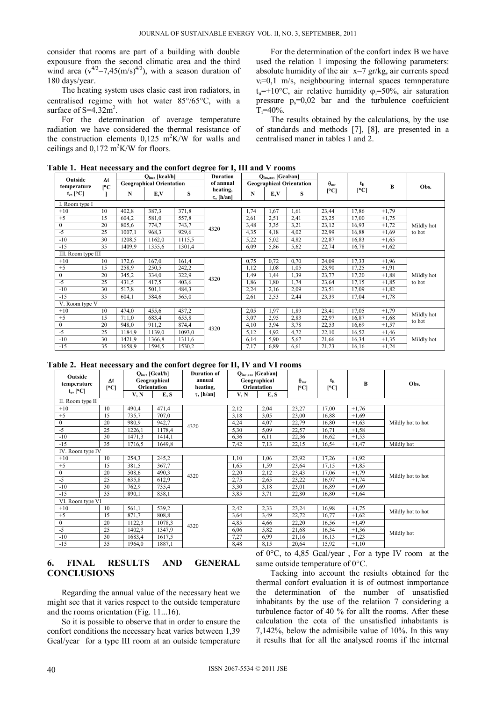consider that rooms are part of a building with double expousure from the second climatic area and the third wind area  $(v^{4/3}=7.45(m/s)^{4/3})$ , with a season duration of 180 days/year.

 The heating system uses clasic cast iron radiators, in centralised regime with hot water  $85^{\circ}/65^{\circ}$ C, with a surface of  $S=4,32m^2$ .

 For the determination of average temperature radiation we have considered the thermal resistance of the construction elements  $0,125 \text{ m}^2\text{K/W}$  for walls and ceilings and  $0,172 \text{ m}^2 \text{K/W}$  for floors.

 For the determination of the confort index B we have used the relation 1 imposing the following parameters: absolute humidity of the air  $x=7$  gr/kg, air currents speed  $v_i=0,1$  m/s, neighbouring internal spaces temnperature  $t_n=+10$ °C, air relative humidity  $\varphi=50\%$ , air saturation pressure  $p_s=0.02$  bar and the turbulence coefuicient  $T = 40\%$ .

 The results obtained by the calculations, by the use of standards and methods [7], [8], are presented in a centralised maner in tables 1 and 2.

**Table 1.****Heat necessary and the confort degree for I, III and V rooms** 

| Outside            | $\Delta t$<br>$\mathsf{I}^{\circ}\mathsf{C}$ | $Q_{\text{inc}}$ , [kcal/h]     |        |        | Duration                    | $Q_{\text{inc,an}}$ [Gcal/an]   |      |      | $\bm{\theta}_{\text{mr}}$ | t <sub>E</sub> | B       | Obs.                 |
|--------------------|----------------------------------------------|---------------------------------|--------|--------|-----------------------------|---------------------------------|------|------|---------------------------|----------------|---------|----------------------|
| temperature        |                                              | <b>Geographical Orientation</b> |        |        | of annual                   | <b>Geographical Orientation</b> |      |      |                           |                |         |                      |
| $t_e$ , [°C]       |                                              | N                               | E,V    | S      | heating,<br>$\tau$ , [h/an] | N                               | E,V  | S    | °C                        | °C             |         |                      |
| I. Room type I     |                                              |                                 |        |        |                             |                                 |      |      |                           |                |         |                      |
| $+10$              | 10                                           | 402,8                           | 387,3  | 371,8  | 4320                        | 1,74                            | 1,67 | 1,61 | 23,44                     | 17,86          | $+1,79$ | Mildly hot<br>to hot |
| $+5$               | 15                                           | 604,2                           | 581,0  | 557,8  |                             | 2,61                            | 2,51 | 2,41 | 23,25                     | 17,00          | $+1,75$ |                      |
| $\mathbf{0}$       | 20                                           | 805,6                           | 774,7  | 743,7  |                             | 3,48                            | 3.35 | 3,21 | 23,12                     | 16,93          | $+1,72$ |                      |
| $-5$               | 25                                           | 1007,1                          | 968,3  | 929,6  |                             | 4,35                            | 4,18 | 4,02 | 22,99                     | 16,88          | $+1.69$ |                      |
| $-10$              | 30                                           | 1208,5                          | 1162,0 | 1115.5 |                             | 5,22                            | 5,02 | 4,82 | 22,87                     | 16,83          | $+1,65$ |                      |
| $-15$              | 35                                           | 1409.9                          | 1355,6 | 1301,4 |                             | 6.09                            | 5,86 | 5,62 | 22,74                     | 16,78          | $+1,62$ |                      |
| III. Room type III |                                              |                                 |        |        |                             |                                 |      |      |                           |                |         |                      |
| $+10$              | 10                                           | 172,6                           | 167,0  | 161,4  | 4320                        | 0.75                            | 0.72 | 0,70 | 24,09                     | 17,33          | $+1,96$ | Mildly hot<br>to hot |
| $+5$               | 15                                           | 258,9                           | 250,5  | 242,2  |                             | 1,12                            | 1,08 | 1,05 | 23,90                     | 17,25          | $+1,91$ |                      |
| $\mathbf{0}$       | 20                                           | 345,2                           | 334,0  | 322,9  |                             | 1,49                            | 1,44 | 1,39 | 23,77                     | 17,20          | $+1,88$ |                      |
| $-5$               | 25                                           | 431,5                           | 417.5  | 403,6  |                             | 1,86                            | 1,80 | 1,74 | 23,64                     | 17,15          | $+1,85$ |                      |
| $-10$              | 30                                           | 517,8                           | 501,1  | 484,3  |                             | 2,24                            | 2,16 | 2,09 | 23,51                     | 17,09          | $+1,82$ |                      |
| $-15$              | 35                                           | 604,1                           | 584,6  | 565,0  |                             | 2,61                            | 2.53 | 2,44 | 23,39                     | 17,04          | $+1,78$ |                      |
| V. Room type V     |                                              |                                 |        |        |                             |                                 |      |      |                           |                |         |                      |
| $+10$              | 10                                           | 474,0                           | 455,6  | 437,2  | 4320                        | 2,05                            | 1.97 | 1,89 | 23,41                     | 17,05          | $+1,79$ | Mildly hot<br>to hot |
| $+5$               | 15                                           | 711,0                           | 683,4  | 655,8  |                             | 3,07                            | 2.95 | 2,83 | 22,97                     | 16,87          | $+1,68$ |                      |
| $\mathbf{0}$       | 20                                           | 948,0                           | 911,2  | 874,4  |                             | 4,10                            | 3.94 | 3,78 | 22,53                     | 16,69          | $+1,57$ |                      |
| $-5$               | 25                                           | 1184,9                          | 1139,0 | 1093,0 |                             | 5,12                            | 4,92 | 4,72 | 22,10                     | 16,52          | $+1,46$ | Mildly hot           |
| $-10$              | 30                                           | 1421,9                          | 1366,8 | 1311.6 |                             | 6,14                            | 5,90 | 5,67 | 21,66                     | 16,34          | $+1,35$ |                      |
| $-15$              | 35                                           | 1658,9                          | 1594,5 | 1530,2 |                             | 7,17                            | 6,89 | 6,61 | 21,23                     | 16,16          | $+1,24$ |                      |

**Table 2. Heat necessary and the confort degree for II, IV and VI rooms** 

| Outside          | Δt<br> °C        | $Oinc$ , [Gcal/h]<br>Geographical |        | <b>Duration of</b> | Q <sub>înc,an</sub> , [Gcal/an]<br>Geographical<br>Orientation |      | $\bm{\theta}_{\rm mr}$<br> °C | t <sub>E</sub><br> °C | B       | Obs.              |  |  |
|------------------|------------------|-----------------------------------|--------|--------------------|----------------------------------------------------------------|------|-------------------------------|-----------------------|---------|-------------------|--|--|
| temperature      |                  |                                   |        | annual             |                                                                |      |                               |                       |         |                   |  |  |
| $t_e$ , $ °C $   |                  | <b>Orientation</b>                |        | heating,           |                                                                |      |                               |                       |         |                   |  |  |
|                  |                  | V, N                              | E, S   | $\tau$ , [h/an]    | V, N                                                           | E, S |                               |                       |         |                   |  |  |
| II. Room type II |                  |                                   |        |                    |                                                                |      |                               |                       |         |                   |  |  |
| $+10$            | 10 <sup>10</sup> | 490,4                             | 471,4  |                    | 2,12                                                           | 2,04 | 23,27                         | 17,00                 | $+1,76$ |                   |  |  |
| $+5$             | 15               | 735,7                             | 707,0  |                    | 3,18                                                           | 3.05 | 23,00                         | 16,88                 | $+1,69$ |                   |  |  |
| $\mathbf{0}$     | 20               | 980,9                             | 942,7  | 4320               | 4,24                                                           | 4,07 | 22,79                         | 16,80                 | $+1,63$ | Mildly hot to hot |  |  |
| $-5$             | 25               | 1226,1                            | 1178,4 |                    | 5,30                                                           | 5,09 | 22,57                         | 16,71                 | $+1,58$ |                   |  |  |
| $-10$            | 30               | 1471,3                            | 1414.1 |                    | 6,36                                                           | 6,11 | 22,36                         | 16,62                 | $+1,53$ |                   |  |  |
| $-15$            | 35               | 1716,5                            | 1649,8 |                    | 7,42                                                           | 7,13 | 22,15                         | 16,54                 | $+1,47$ | Mildly hot        |  |  |
| IV. Room type IV |                  |                                   |        |                    |                                                                |      |                               |                       |         |                   |  |  |
| $+10$            | 10               | 254,3                             | 245,2  |                    | 1,10                                                           | 1,06 | 23,92                         | 17,26                 | $+1,92$ |                   |  |  |
| $+5$             | 15               | 381,5                             | 367,7  | 4320               | 1,65                                                           | 1.59 | 23,64                         | 17,15                 | $+1,85$ |                   |  |  |
| $\theta$         | 20               | 508,6                             | 490,3  |                    | 2,20                                                           | 2,12 | 23,43                         | 17,06                 | $+1,79$ | Mildly hot to hot |  |  |
| $-5$             | 25               | 635,8                             | 612.9  |                    | 2,75                                                           | 2,65 | 23,22                         | 16,97                 | $+1,74$ |                   |  |  |
| $-10$            | 30               | 762,9                             | 735,4  |                    | 3,30                                                           | 3,18 | 23,01                         | 16,89                 | $+1,69$ |                   |  |  |
| $-15$            | 35               | 890,1                             | 858,1  |                    | 3,85                                                           | 3,71 | 22,80                         | 16,80                 | $+1,64$ |                   |  |  |
|                  | VI. Room type VI |                                   |        |                    |                                                                |      |                               |                       |         |                   |  |  |
| $+10$            | 10               | 561,1                             | 539,2  |                    | 2,42                                                           | 2,33 | 23,24                         | 16,98                 | $+1,75$ | Mildly hot to hot |  |  |
| $+5$             | 15               | 871,7                             | 808,8  |                    | 3,64                                                           | 3,49 | 22,72                         | 16,77                 | $+1,62$ |                   |  |  |
| $\mathbf{0}$     | 20               | 1122,3                            | 1078,3 | 4320               | 4,85                                                           | 4,66 | 22,20                         | 16,56                 | $+1,49$ |                   |  |  |
| $-5$             | 25               | 1402,9                            | 1347,9 |                    | 6,06                                                           | 5,82 | 21,68                         | 16,34                 | $+1,36$ | Mildly hot        |  |  |
| $-10$            | 30               | 1683,4                            | 1617,5 |                    | 7,27                                                           | 6.99 | 21,16                         | 16,13                 | $+1,23$ |                   |  |  |
| $-15$            | 35               | 1964,0                            | 1887,1 |                    | 8,48                                                           | 8,15 | 20,64                         | 15,92                 | $+1,10$ |                   |  |  |

### **6. FINAL RESULTS AND GENERAL CONCLUSIONS**

 Regarding the annual value of the necessary heat we might see that it varies respect to the outside temperature and the rooms orientation (Fig. 11...16).

 So it is possible to observe that in order to ensure the confort conditions the necessary heat varies between 1,39 Gcal/year for a type III room at an outside temperature of  $0^{\circ}$ C, to 4,85 Gcal/year, For a type IV room at the same outside temperature of  $0^{\circ}$ C.

 Tacking into account the resiults obtained for the thermal confort evaluation it is of outmost inmportance the determination of the number of unsatisfied inhabitants by the use of the relatiion 7 considering a turbulence factor of 40 % for allt the rooms. After these calculation the cota of the unsatisfied inhabitants is 7,142%, below the admisibile value of 10%. In this way it results that for all the analysed rooms if the internal